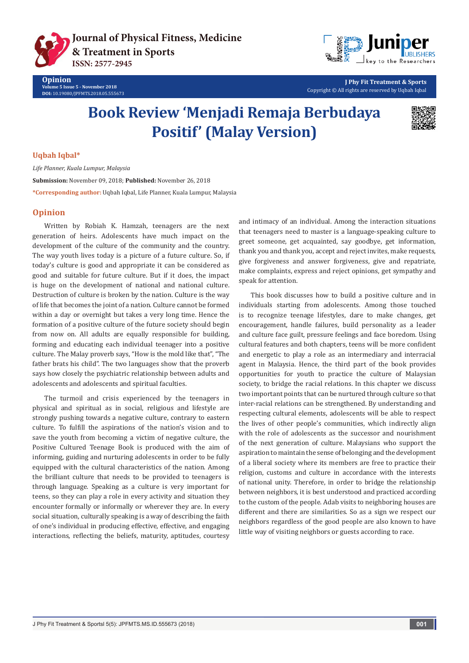**[Journal of Physical Fitness, Medicine](https://juniperpublishers.com/jpfmts)  & Treatment in Sports ISSN: 2577-2945**



**J Phy Fit Treatment & Sports** Copyright © All rights are reserved by Uqbah Iqbal

# **Book Review 'Menjadi Remaja Berbudaya Positif' (Malay Version)**



#### **Uqbah Iqbal\***

*Life Planner, Kuala Lumpur, Malaysia* **Submission:** November 09, 2018; **Published:** November 26, 2018 **\*Corresponding author:** Uqbah Iqbal, Life Planner, Kuala Lumpur, Malaysia

## **Opinion**

Written by Robiah K. Hamzah, teenagers are the next generation of heirs. Adolescents have much impact on the development of the culture of the community and the country. The way youth lives today is a picture of a future culture. So, if today's culture is good and appropriate it can be considered as good and suitable for future culture. But if it does, the impact is huge on the development of national and national culture. Destruction of culture is broken by the nation. Culture is the way of life that becomes the joint of a nation. Culture cannot be formed within a day or overnight but takes a very long time. Hence the formation of a positive culture of the future society should begin from now on. All adults are equally responsible for building, forming and educating each individual teenager into a positive culture. The Malay proverb says, "How is the mold like that", "The father brats his child". The two languages show that the proverb says how closely the psychiatric relationship between adults and adolescents and adolescents and spiritual faculties.

The turmoil and crisis experienced by the teenagers in physical and spiritual as in social, religious and lifestyle are strongly pushing towards a negative culture, contrary to eastern culture. To fulfill the aspirations of the nation's vision and to save the youth from becoming a victim of negative culture, the Positive Cultured Teenage Book is produced with the aim of informing, guiding and nurturing adolescents in order to be fully equipped with the cultural characteristics of the nation. Among the brilliant culture that needs to be provided to teenagers is through language. Speaking as a culture is very important for teens, so they can play a role in every activity and situation they encounter formally or informally or wherever they are. In every social situation, culturally speaking is a way of describing the faith of one's individual in producing effective, effective, and engaging interactions, reflecting the beliefs, maturity, aptitudes, courtesy

and intimacy of an individual. Among the interaction situations that teenagers need to master is a language-speaking culture to greet someone, get acquainted, say goodbye, get information, thank you and thank you, accept and reject invites, make requests, give forgiveness and answer forgiveness, give and repatriate, make complaints, express and reject opinions, get sympathy and speak for attention.

This book discusses how to build a positive culture and in individuals starting from adolescents. Among those touched is to recognize teenage lifestyles, dare to make changes, get encouragement, handle failures, build personality as a leader and culture face guilt, pressure feelings and face boredom. Using cultural features and both chapters, teens will be more confident and energetic to play a role as an intermediary and interracial agent in Malaysia. Hence, the third part of the book provides opportunities for youth to practice the culture of Malaysian society, to bridge the racial relations. In this chapter we discuss two important points that can be nurtured through culture so that inter-racial relations can be strengthened. By understanding and respecting cultural elements, adolescents will be able to respect the lives of other people's communities, which indirectly align with the role of adolescents as the successor and nourishment of the next generation of culture. Malaysians who support the aspiration to maintain the sense of belonging and the development of a liberal society where its members are free to practice their religion, customs and culture in accordance with the interests of national unity. Therefore, in order to bridge the relationship between neighbors, it is best understood and practiced according to the custom of the people. Adab visits to neighboring houses are different and there are similarities. So as a sign we respect our neighbors regardless of the good people are also known to have little way of visiting neighbors or guests according to race.